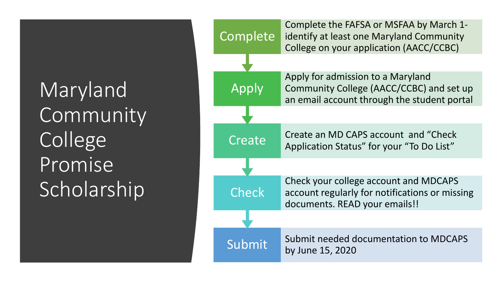Maryland Community College Promise Scholarship